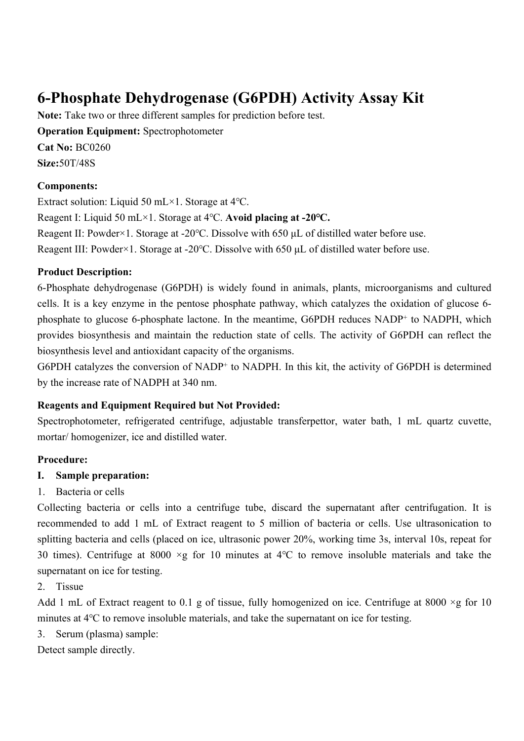# **6-Phosphate Dehydrogenase (G6PDH) Activity Assay Kit**

**Note:** Take two or three different samples for prediction before test. **Operation Equipment: Spectrophotometer Cat No:** BC0260 **Size:**50T/48S

#### **Components:**

Extract solution: Liquid 50 mL×1. Storage at 4℃. Reagent I: Liquid 50 mL×1. Storage at 4℃. **Avoid placing at -20℃.** Reagent II: Powder×1. Storage at -20℃. Dissolve with 650 μL of distilled water before use. Reagent III: Powder×1. Storage at -20℃. Dissolve with 650 μL of distilled water before use.

#### **Product Description:**

6-Phosphate dehydrogenase (G6PDH) is widely found in animals, plants, microorganisms and cultured cells. It is a key enzyme in the pentose phosphate pathway, which catalyzes the oxidation of glucose 6 phosphate to glucose 6-phosphate lactone. In the meantime, G6PDH reduces NADP<sup>+</sup> to NADPH, which provides biosynthesis and maintain the reduction state of cells. The activity of G6PDH can reflect the biosynthesis level and antioxidant capacity of the organisms.

G6PDH catalyzes the conversion of NADP<sup>+</sup> to NADPH. In this kit, the activity of G6PDH is determined by the increase rate of NADPH at 340 nm.

## **Reagents and Equipment Required but Not Provided:**

Spectrophotometer, refrigerated centrifuge, adjustable transferpettor, water bath, 1 mL quartz cuvette, mortar/ homogenizer, ice and distilled water.

#### **Procedure:**

#### **I. Sample preparation:**

1. Bacteria or cells

Collecting bacteria or cells into a centrifuge tube, discard the supernatant after centrifugation. It is recommended to add 1 mL of Extract reagent to 5 million of bacteria or cells. Use ultrasonication to splitting bacteria and cells (placed on ice, ultrasonic power 20%, working time 3s, interval 10s, repeat for 30 times). Centrifuge at 8000 ×g for 10 minutes at 4℃ to remove insoluble materials and take the supernatant on ice for testing.

#### 2. Tissue

Add 1 mL of Extract reagent to 0.1 g of tissue, fully homogenized on ice. Centrifuge at 8000  $\times$ g for 10 minutes at 4℃ to remove insoluble materials, and take the supernatant on ice for testing.

3. Serum (plasma) sample:

Detect sample directly.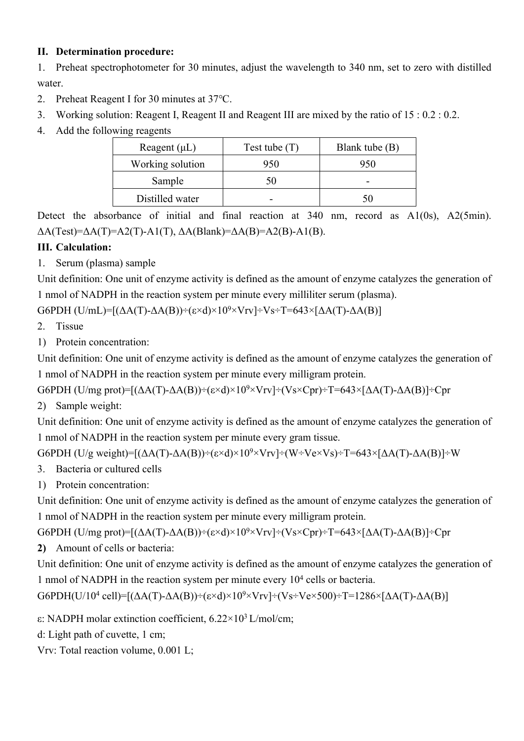## **II. Determination procedure:**

1. Preheat spectrophotometer for 30 minutes, adjust the wavelength to 340 nm, set to zero with distilled water.

- 2. Preheat Reagent I for 30 minutes at 37℃.
- 3. Working solution: Reagent I, Reagent II and Reagent III are mixed by the ratio of 15 : 0.2 : 0.2.
- 4. Add the following reagents

| Reagent $(\mu L)$ | Test tube $(T)$ | Blank tube (B) |
|-------------------|-----------------|----------------|
| Working solution  | 950             | 950            |
| Sample            | 50              |                |
| Distilled water   |                 |                |

Detect the absorbance of initial and final reaction at 340 nm, record as A1(0s), A2(5min).  $\Delta A(Test)=\Delta A(T)=A2(T)-A1(T), \Delta A(Blank)=\Delta A(B)=A2(B)-A1(B).$ 

# **III. Calculation:**

1. Serum (plasma) sample

Unit definition: One unit of enzyme activity is defined as the amount of enzyme catalyzes the generation of 1 nmol of NADPH in the reaction system per minute every milliliter serum (plasma).

G6PDH (U/mL)= $[(\Delta A(T)-\Delta A(B))-(\epsilon \times d)\times 10^{9} \times V_{IV}]$  ÷ Vs ÷ T=643×[ $\Delta A(T)-\Delta A(B)$ ]

- 2. Tissue
- 1) Protein concentration:

Unit definition: One unit of enzyme activity is defined as the amount of enzyme catalyzes the generation of 1 nmol of NADPH in the reaction system per minute every milligram protein.

G6PDH (U/mg prot)= $[(\Delta A(T) - \Delta A(B)) \div (\varepsilon \times d) \times 10^9 \times V_{\text{IV}}] \div (V_S \times C_{\text{DT}}) \div T = 643 \times [\Delta A(T) - \Delta A(B)] \div C_{\text{DT}}$ 

2) Sample weight:

Unit definition: One unit of enzyme activity is defined as the amount of enzyme catalyzes the generation of 1 nmol of NADPH in the reaction system per minute every gram tissue.

G6PDH (U/g weight)= $[(\Delta A(T) - \Delta A(B)) \div (\varepsilon \times d) \times 10^{9} \times V_{TV}] \div (W \div V_{e} \times V_{S}) \div T = 643 \times [\Delta A(T) - \Delta A(B)] \div W$ 

- 3. Bacteria or cultured cells
- 1) Protein concentration:

Unit definition: One unit of enzyme activity is defined as the amount of enzyme catalyzes the generation of 1 nmol of NADPH in the reaction system per minute every milligram protein.

G6PDH (U/mg prot)= $[(\Delta A(T) - \Delta A(B)) \div (\varepsilon \times d) \times 10^{9} \times V_{TV}] \div (V_S \times C_{pr}) \div T = 643 \times [\Delta A(T) - \Delta A(B)] \div C_{pr}$ 

**2)** Amount of cells or bacteria:

Unit definition: One unit of enzyme activity is defined as the amount of enzyme catalyzes the generation of 1 nmol of NADPH in the reaction system per minute every 10<sup>4</sup> cells or bacteria.

G6PDH(U/10<sup>4</sup> cell)=[( $\Delta A(T)$ - $\Delta A(B)$ )÷(ε×d)×10<sup>9</sup>×Vrv]÷(Vs÷Ve×500)÷T=1286×[ $\Delta A(T)$ - $\Delta A(B)$ ]

ε: NADPH molar extinction coefficient, 6.22×10<sup>3</sup>L/mol/cm;

d: Light path of cuvette, 1 cm;

Vrv: Total reaction volume, 0.001 L;